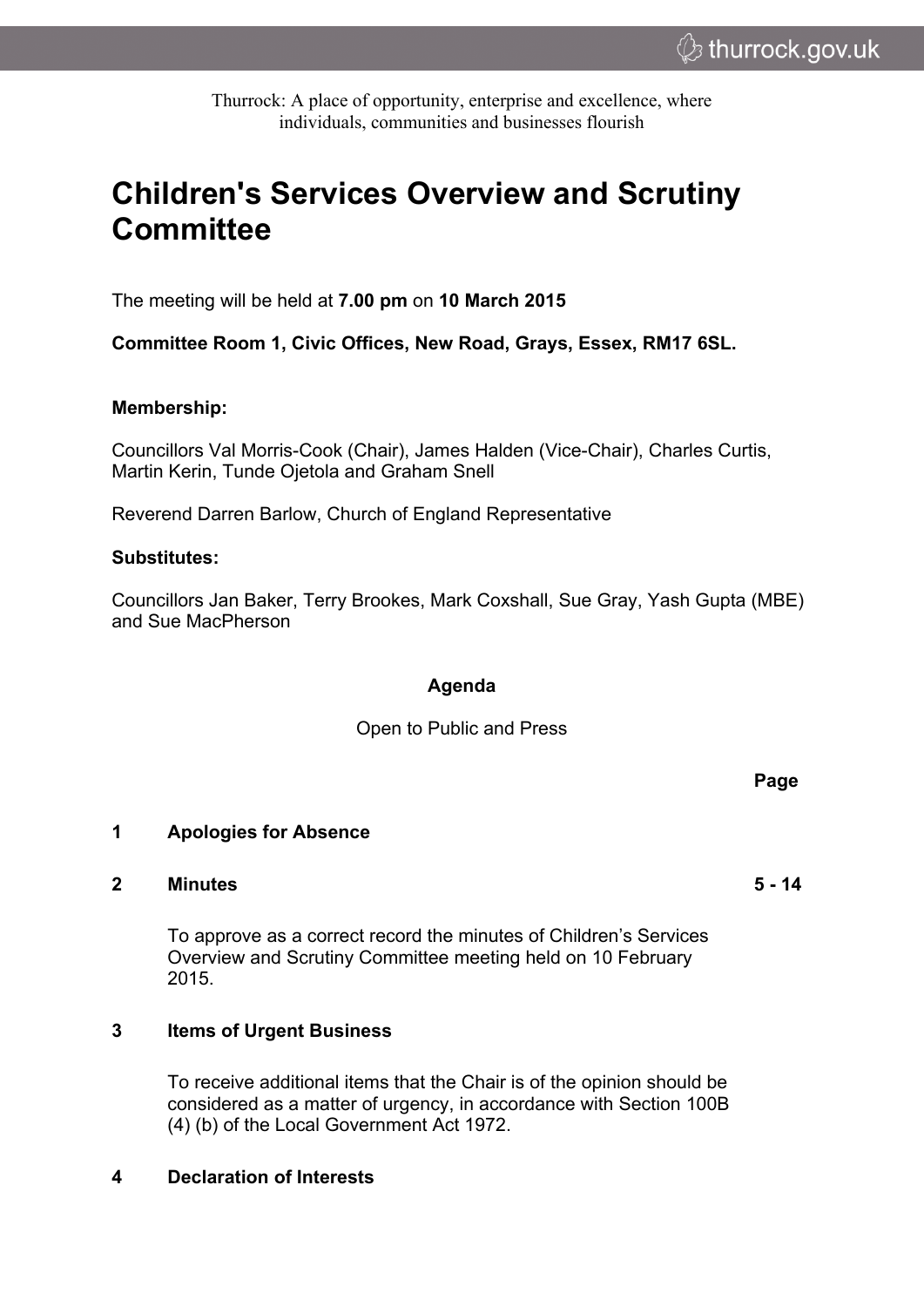Thurrock: A place of opportunity, enterprise and excellence, where individuals, communities and businesses flourish

# **Children's Services Overview and Scrutiny Committee**

The meeting will be held at **7.00 pm** on **10 March 2015**

**Committee Room 1, Civic Offices, New Road, Grays, Essex, RM17 6SL.**

#### **Membership:**

Councillors Val Morris-Cook (Chair), James Halden (Vice-Chair), Charles Curtis, Martin Kerin, Tunde Ojetola and Graham Snell

Reverend Darren Barlow, Church of England Representative

#### **Substitutes:**

Councillors Jan Baker, Terry Brookes, Mark Coxshall, Sue Gray, Yash Gupta (MBE) and Sue MacPherson

### **Agenda**

Open to Public and Press

**1 Apologies for Absence**

#### **2 Minutes 5 - 14**

To approve as a correct record the minutes of Children's Services Overview and Scrutiny Committee meeting held on 10 February 2015.

## **3 Items of Urgent Business**

To receive additional items that the Chair is of the opinion should be considered as a matter of urgency, in accordance with Section 100B (4) (b) of the Local Government Act 1972.

#### **4 Declaration of Interests**

**Page**